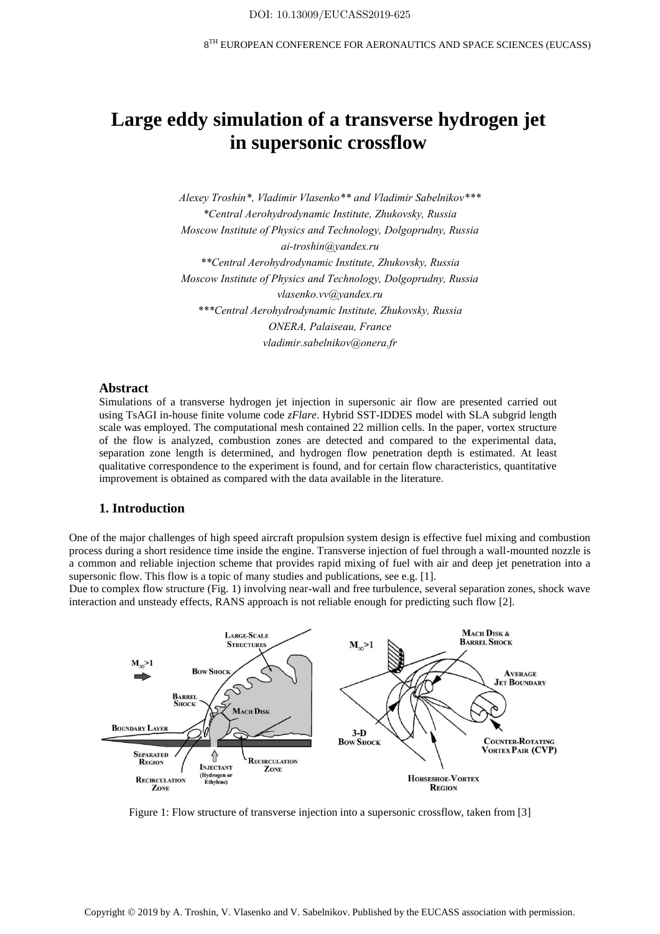# **Large eddy simulation of a transverse hydrogen jet in supersonic crossflow**

*Alexey Troshin\*, Vladimir Vlasenko\*\* and Vladimir Sabelnikov\*\*\* \*Central Aerohydrodynamic Institute, Zhukovsky, Russia Moscow Institute of Physics and Technology, Dolgoprudny, Russia ai-troshin@yandex.ru \*\*Central Aerohydrodynamic Institute, Zhukovsky, Russia Moscow Institute of Physics and Technology, Dolgoprudny, Russia vlasenko.vv@yandex.ru \*\*\*Central Aerohydrodynamic Institute, Zhukovsky, Russia ONERA, Palaiseau, France vladimir.sabelnikov@onera.fr*

#### **Abstract**

Simulations of a transverse hydrogen jet injection in supersonic air flow are presented carried out using TsAGI in-house finite volume code *zFlare*. Hybrid SST-IDDES model with SLA subgrid length scale was employed. The computational mesh contained 22 million cells. In the paper, vortex structure of the flow is analyzed, combustion zones are detected and compared to the experimental data, separation zone length is determined, and hydrogen flow penetration depth is estimated. At least qualitative correspondence to the experiment is found, and for certain flow characteristics, quantitative improvement is obtained as compared with the data available in the literature.

# **1. Introduction**

One of the major challenges of high speed aircraft propulsion system design is effective fuel mixing and combustion process during a short residence time inside the engine. Transverse injection of fuel through a wall-mounted nozzle is a common and reliable injection scheme that provides rapid mixing of fuel with air and deep jet penetration into a supersonic flow. This flow is a topic of many studies and publications, see e.g. [1].

Due to complex flow structure (Fig. 1) involving near-wall and free turbulence, several separation zones, shock wave interaction and unsteady effects, RANS approach is not reliable enough for predicting such flow [2].



Figure 1: Flow structure of transverse injection into a supersonic crossflow, taken from [3]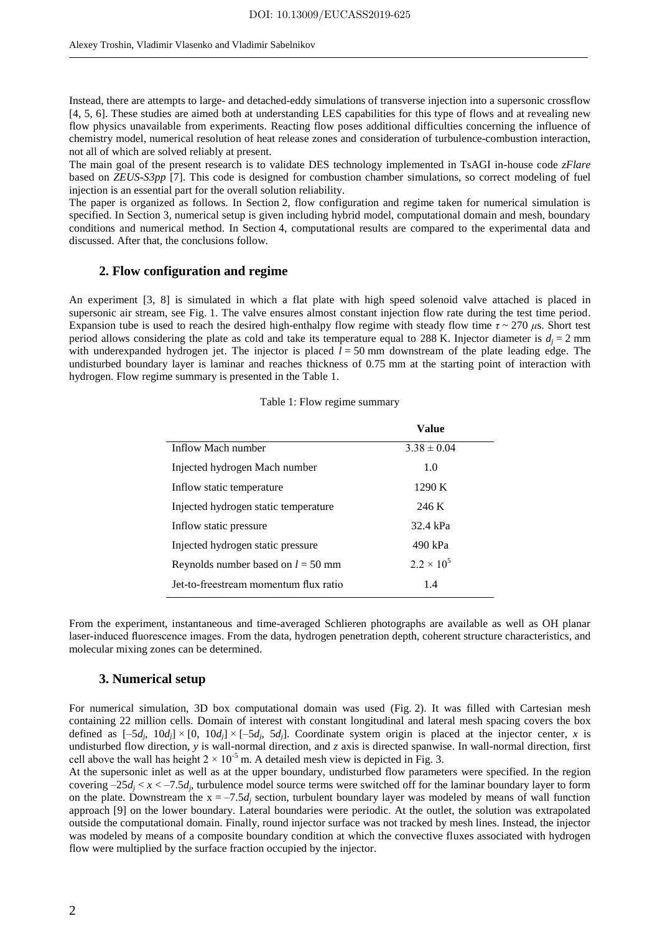Instead, there are attempts to large- and detached-eddy simulations of transverse injection into a supersonic crossflow [4, 5, 6]. These studies are aimed both at understanding LES capabilities for this type of flows and at revealing new flow physics unavailable from experiments. Reacting flow poses additional difficulties concerning the influence of chemistry model, numerical resolution of heat release zones and consideration of turbulence-combustion interaction, not all of which are solved reliably at present.

The main goal of the present research is to validate DES technology implemented in TsAGI in-house code *zFlare* based on *ZEUS-S3pp* [7]. This code is designed for combustion chamber simulations, so correct modeling of fuel injection is an essential part for the overall solution reliability.

The paper is organized as follows. In Section 2, flow configuration and regime taken for numerical simulation is specified. In Section 3, numerical setup is given including hybrid model, computational domain and mesh, boundary conditions and numerical method. In Section 4, computational results are compared to the experimental data and discussed. After that, the conclusions follow.

### **2. Flow configuration and regime**

An experiment [3, 8] is simulated in which a flat plate with high speed solenoid valve attached is placed in supersonic air stream, see Fig. 1. The valve ensures almost constant injection flow rate during the test time period. Expansion tube is used to reach the desired high-enthalpy flow regime with steady flow time *τ* ~ 270 *μ*s. Short test period allows considering the plate as cold and take its temperature equal to 288 K. Injector diameter is  $d_i = 2$  mm with underexpanded hydrogen jet. The injector is placed  $l = 50$  mm downstream of the plate leading edge. The undisturbed boundary layer is laminar and reaches thickness of 0.75 mm at the starting point of interaction with hydrogen. Flow regime summary is presented in the Table 1.

|  |  | Table 1: Flow regime summary |
|--|--|------------------------------|
|  |  |                              |
|  |  |                              |

| Value               |  |
|---------------------|--|
| $3.38 \pm 0.04$     |  |
| 1.0                 |  |
| 1290 K              |  |
| 246 K               |  |
| 32.4 kPa            |  |
| 490 kPa             |  |
| $2.2 \times 10^{5}$ |  |
| 1.4                 |  |
|                     |  |

From the experiment, instantaneous and time-averaged Schlieren photographs are available as well as OH planar laser-induced fluorescence images. From the data, hydrogen penetration depth, coherent structure characteristics, and molecular mixing zones can be determined.

#### **3. Numerical setup**

For numerical simulation, 3D box computational domain was used (Fig. 2). It was filled with Cartesian mesh containing 22 million cells. Domain of interest with constant longitudinal and lateral mesh spacing covers the box defined as  $[-5d_j, 10d_j] \times [0, 10d_j] \times [-5d_j, 5d_j]$ . Coordinate system origin is placed at the injector center, *x* is undisturbed flow direction, *y* is wall-normal direction, and *z* axis is directed spanwise. In wall-normal direction, first cell above the wall has height  $2 \times 10^{-5}$  m. A detailed mesh view is depicted in Fig. 3.

At the supersonic inlet as well as at the upper boundary, undisturbed flow parameters were specified. In the region covering  $-25d_j < x < -7.5d_j$ , turbulence model source terms were switched off for the laminar boundary layer to form on the plate. Downstream the  $x = -7.5d_i$  section, turbulent boundary layer was modeled by means of wall function approach [9] on the lower boundary. Lateral boundaries were periodic. At the outlet, the solution was extrapolated outside the computational domain. Finally, round injector surface was not tracked by mesh lines. Instead, the injector was modeled by means of a composite boundary condition at which the convective fluxes associated with hydrogen flow were multiplied by the surface fraction occupied by the injector.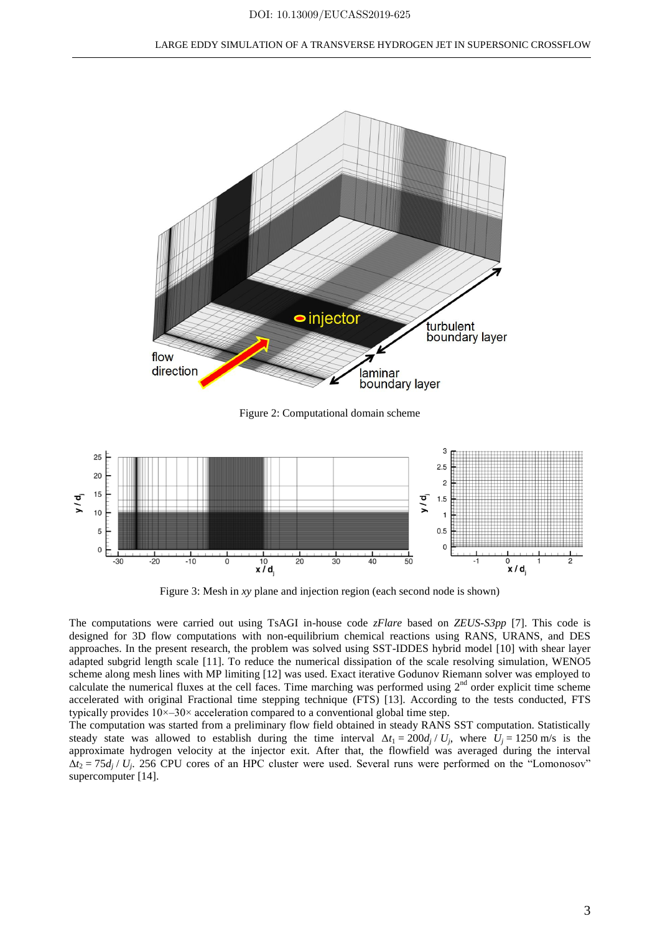

Figure 3: Mesh in *xy* plane and injection region (each second node is shown)

The computations were carried out using TsAGI in-house code *zFlare* based on *ZEUS-S3pp* [7]. This code is designed for 3D flow computations with non-equilibrium chemical reactions using RANS, URANS, and DES approaches. In the present research, the problem was solved using SST-IDDES hybrid model [10] with shear layer adapted subgrid length scale [11]. To reduce the numerical dissipation of the scale resolving simulation, WENO5 scheme along mesh lines with MP limiting [12] was used. Exact iterative Godunov Riemann solver was employed to calculate the numerical fluxes at the cell faces. Time marching was performed using  $2<sup>nd</sup>$  order explicit time scheme accelerated with original Fractional time stepping technique (FTS) [13]. According to the tests conducted, FTS typically provides  $10 \times -30 \times$  acceleration compared to a conventional global time step.

The computation was started from a preliminary flow field obtained in steady RANS SST computation. Statistically steady state was allowed to establish during the time interval  $\Delta t_1 = 200 d_j / U_j$ , where  $U_j = 1250$  m/s is the approximate hydrogen velocity at the injector exit. After that, the flowfield was averaged during the interval  $\Delta t_2 = 75d_j$  /  $U_j$ . 256 CPU cores of an HPC cluster were used. Several runs were performed on the "Lomonosov" supercomputer [14].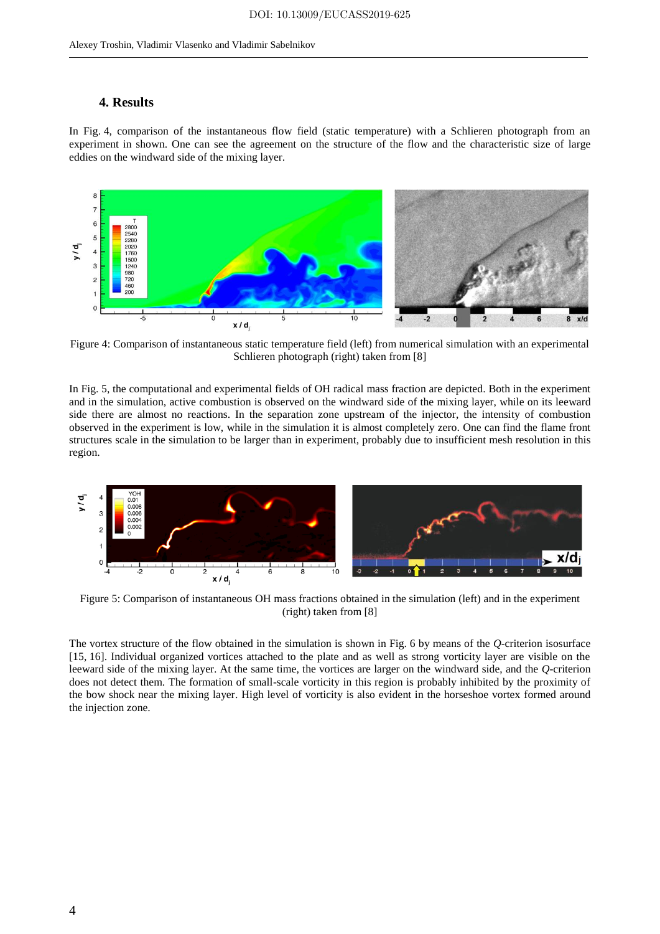## **4. Results**

In Fig. 4, comparison of the instantaneous flow field (static temperature) with a Schlieren photograph from an experiment in shown. One can see the agreement on the structure of the flow and the characteristic size of large eddies on the windward side of the mixing layer.



Figure 4: Comparison of instantaneous static temperature field (left) from numerical simulation with an experimental Schlieren photograph (right) taken from [8]

In Fig. 5, the computational and experimental fields of OH radical mass fraction are depicted. Both in the experiment and in the simulation, active combustion is observed on the windward side of the mixing layer, while on its leeward side there are almost no reactions. In the separation zone upstream of the injector, the intensity of combustion observed in the experiment is low, while in the simulation it is almost completely zero. One can find the flame front structures scale in the simulation to be larger than in experiment, probably due to insufficient mesh resolution in this region.



Figure 5: Comparison of instantaneous OH mass fractions obtained in the simulation (left) and in the experiment (right) taken from [8]

The vortex structure of the flow obtained in the simulation is shown in Fig. 6 by means of the *Q*-criterion isosurface [15, 16]. Individual organized vortices attached to the plate and as well as strong vorticity layer are visible on the leeward side of the mixing layer. At the same time, the vortices are larger on the windward side, and the *Q*-criterion does not detect them. The formation of small-scale vorticity in this region is probably inhibited by the proximity of the bow shock near the mixing layer. High level of vorticity is also evident in the horseshoe vortex formed around the injection zone.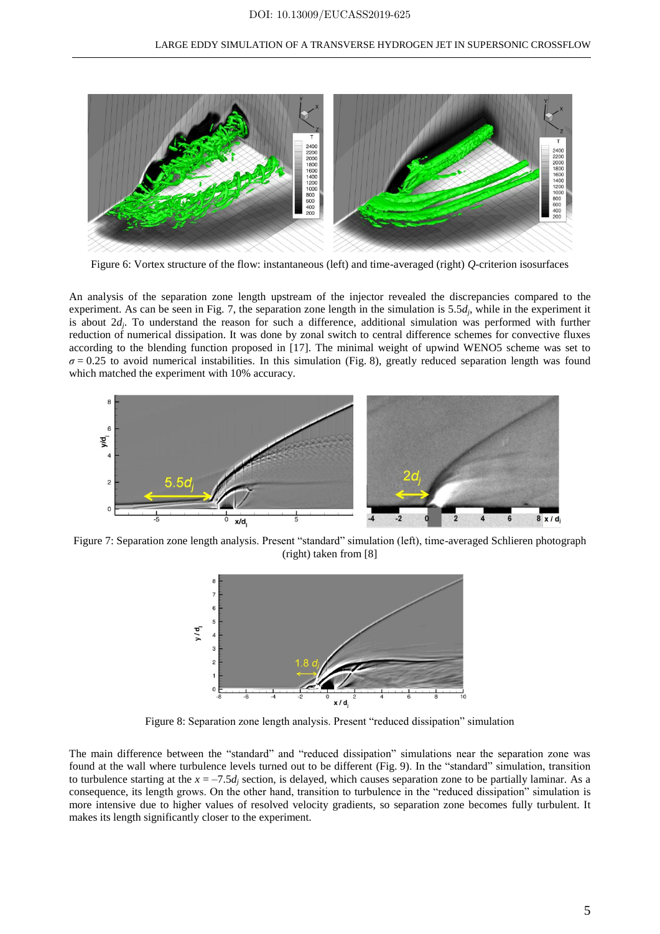

Figure 6: Vortex structure of the flow: instantaneous (left) and time-averaged (right) *Q*-criterion isosurfaces

An analysis of the separation zone length upstream of the injector revealed the discrepancies compared to the experiment. As can be seen in Fig. 7, the separation zone length in the simulation is 5.5*d<sup>j</sup>* , while in the experiment it is about  $2d_j$ . To understand the reason for such a difference, additional simulation was performed with further reduction of numerical dissipation. It was done by zonal switch to central difference schemes for convective fluxes according to the blending function proposed in [17]. The minimal weight of upwind WENO5 scheme was set to  $\sigma$  = 0.25 to avoid numerical instabilities. In this simulation (Fig. 8), greatly reduced separation length was found which matched the experiment with 10% accuracy.



Figure 7: Separation zone length analysis. Present "standard" simulation (left), time-averaged Schlieren photograph (right) taken from [8]



Figure 8: Separation zone length analysis. Present "reduced dissipation" simulation

The main difference between the "standard" and "reduced dissipation" simulations near the separation zone was found at the wall where turbulence levels turned out to be different (Fig. 9). In the "standard" simulation, transition to turbulence starting at the  $x = -7.5d_i$  section, is delayed, which causes separation zone to be partially laminar. As a consequence, its length grows. On the other hand, transition to turbulence in the "reduced dissipation" simulation is more intensive due to higher values of resolved velocity gradients, so separation zone becomes fully turbulent. It makes its length significantly closer to the experiment.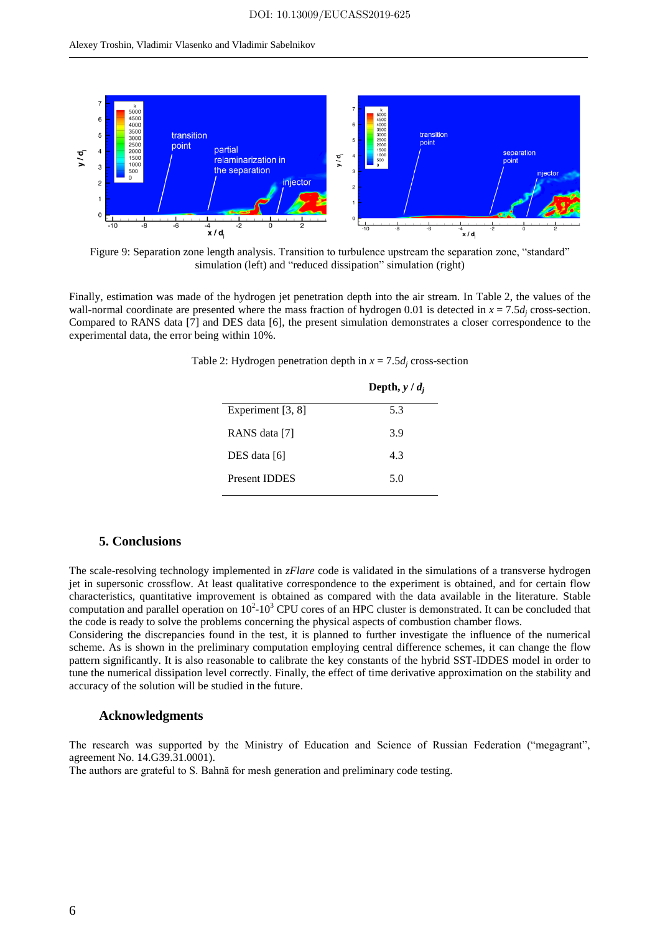

Figure 9: Separation zone length analysis. Transition to turbulence upstream the separation zone, "standard" simulation (left) and "reduced dissipation" simulation (right)

Finally, estimation was made of the hydrogen jet penetration depth into the air stream. In Table 2, the values of the wall-normal coordinate are presented where the mass fraction of hydrogen 0.01 is detected in  $x = 7.5d_i$  cross-section. Compared to RANS data [7] and DES data [6], the present simulation demonstrates a closer correspondence to the experimental data, the error being within 10%.

|                      | Depth, $y/d_i$ |
|----------------------|----------------|
| Experiment [3, 8]    | 5.3            |
| RANS data [7]        | 3.9            |
| DES data [6]         | 4.3            |
| <b>Present IDDES</b> | 5.0            |

Table 2: Hydrogen penetration depth in  $x = 7.5d_i$  cross-section

# **5. Conclusions**

The scale-resolving technology implemented in *zFlare* code is validated in the simulations of a transverse hydrogen jet in supersonic crossflow. At least qualitative correspondence to the experiment is obtained, and for certain flow characteristics, quantitative improvement is obtained as compared with the data available in the literature. Stable computation and parallel operation on  $10^2$ -10<sup>3</sup> CPU cores of an HPC cluster is demonstrated. It can be concluded that the code is ready to solve the problems concerning the physical aspects of combustion chamber flows.

Considering the discrepancies found in the test, it is planned to further investigate the influence of the numerical scheme. As is shown in the preliminary computation employing central difference schemes, it can change the flow pattern significantly. It is also reasonable to calibrate the key constants of the hybrid SST-IDDES model in order to tune the numerical dissipation level correctly. Finally, the effect of time derivative approximation on the stability and accuracy of the solution will be studied in the future.

#### **Acknowledgments**

The research was supported by the Ministry of Education and Science of Russian Federation ("megagrant", agreement No. 14.G39.31.0001).

The authors are grateful to S. Bahnă for mesh generation and preliminary code testing.